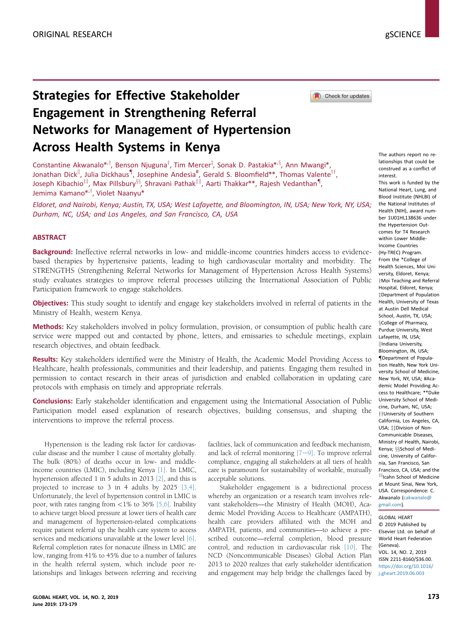Check for updates

# Strategies for Effective Stakeholder Engagement in Strengthening Referral Networks for Management of Hypertension Across Health Systems in Kenya

Constantine Akwanalo\*<sup>,†</sup>, Benson Njuguna<sup>†</sup>, Tim Mercer<sup>‡</sup>, Sonak D. Pastakia\*<sup>,§</sup>, Ann Mwangi\*, Jonathan Dick<sup>||</sup>, Julia Dickhaus<sup>¶</sup>, Josephine Andesia<sup>#</sup>, Gerald S. Bloomfield\*\*, Thomas Valente<sup>††</sup>, Joseph Kibachio $^{\text{\tiny{\textup{II}}}},$  Max Pillsbury $^{\text{\tiny{\textup{83}}}}$ , Shravani Pathak $^{\text{\tiny{\textup{III}}}}$ , Aarti Thakkar\*\*, Rajesh Vedanthan $^{\text{\tiny{\textup{II}}}},$ Jemima Kamano<sup>\*,†</sup>, Violet Naanyu<sup>\*</sup>

Eldoret, and Nairobi, Kenya; Austin, TX, USA; West Lafayette, and Bloomington, IN, USA; New York, NY, USA; Durham, NC, USA; and Los Angeles, and San Francisco, CA, USA

#### ABSTRACT

Background: Ineffective referral networks in low- and middle-income countries hinders access to evidencebased therapies by hypertensive patients, leading to high cardiovascular mortality and morbidity. The STRENGTHS (Strengthening Referral Networks for Management of Hypertension Across Health Systems) study evaluates strategies to improve referral processes utilizing the International Association of Public Participation framework to engage stakeholders.

Objectives: This study sought to identify and engage key stakeholders involved in referral of patients in the Ministry of Health, western Kenya.

Methods: Key stakeholders involved in policy formulation, provision, or consumption of public health care service were mapped out and contacted by phone, letters, and emissaries to schedule meetings, explain research objectives, and obtain feedback.

Results: Key stakeholders identified were the Ministry of Health, the Academic Model Providing Access to Healthcare, health professionals, communities and their leadership, and patients. Engaging them resulted in permission to contact research in their areas of jurisdiction and enabled collaboration in updating care protocols with emphasis on timely and appropriate referrals.

Conclusions: Early stakeholder identification and engagement using the International Association of Public Participation model eased explanation of research objectives, building consensus, and shaping the interventions to improve the referral process.

Hypertension is the leading risk factor for cardiovascular disease and the number 1 cause of mortality globally. The bulk (80%) of deaths occur in low- and middleincome countries (LMIC), including Kenya [\[1\].](#page-6-0) In LMIC, hypertension affected 1 in 5 adults in 2013 [\[2\]](#page-6-0), and this is projected to increase to 3 in 4 adults by 2025 [\[3,4\].](#page-6-0) Unfortunately, the level of hypertension control in LMIC is poor, with rates ranging from  $\langle 1\%$  to 36% [\[5,6\].](#page-6-0) Inability to achieve target blood pressure at lower tiers of health care and management of hypertension-related complications require patient referral up the health care system to access services and medications unavailable at the lower level [\[6\].](#page-6-0) Referral completion rates for nonacute illness in LMIC are low, ranging from 41% to 45% due to a number of failures in the health referral system, which include poor relationships and linkages between referring and receiving facilities, lack of communication and feedback mechanism, and lack of referral monitoring  $[7-9]$  $[7-9]$ . To improve referral compliance, engaging all stakeholders at all tiers of health care is paramount for sustainability of workable, mutually acceptable solutions.

Stakeholder engagement is a bidirectional process whereby an organization or a research team involves relevant stakeholders—the Ministry of Health (MOH), Academic Model Providing Access to Healthcare (AMPATH), health care providers affiliated with the MOH and AMPATH, patients, and communities—to achieve a prescribed outcome—referral completion, blood pressure control, and reduction in cardiovascular risk [\[10\].](#page-6-0) The NCD (Noncommunicable Diseases) Global Action Plan 2013 to 2020 realizes that early stakeholder identification and engagement may help bridge the challenges faced by

The authors report no relationships that could be construed as a conflict of

interest. This work is funded by the National Heart, Lung, and Blood Institute (NHLBI) of the National Institutes of Health (NIH), award number 1U01HL138636 under the Hypertension Outcomes for T4 Research within Lower Middle-Income Countries (Hy-TREC) Program. From the \*College of Health Sciences, Moi University, Eldoret, Kenya; tMoi Teaching and Referral Hospital, Eldoret, Kenya; [z](#page-6-0)Department of Population Health, University of Texas at Austin Dell Medical School, Austin, TX, USA; [x](#page-6-0)College of Pharmacy, Purdue University, West Lafayette, IN, USA; [k](#page-6-0)Indiana University, Bloomington, IN, USA; [{](#page-6-0)Department of Population Health, New York University School of Medicine, New York, NY, USA; #Academic Model Providing Access to Healthcare; \*\*Duke University School of Medicine, Durham, NC, USA; [yy](#page-6-0)University of Southern California, Los Angeles, CA, USA; # Division of Non-Communicable Diseases, Ministry of Health, Nairobi, Kenya: §§School of Medicine, University of California, San Francisco, San Francisco, CA, USA; and the IIIIcahn School of Medicine at Mount Sinai, New York, USA. Correspondence: C. Akwanalo [\(cakwanalo@](mailto:cakwanalo@gmail.com) [gmail.com](mailto:cakwanalo@gmail.com)).

GLOBAL HEART © 2019 Published by Elsevier Ltd. on behalf of World Heart Federation (Geneva). VOL. 14, NO. 2, 2019 ISSN 2211-8160/\$36.00. [https://doi.org/10.1016/](https://doi.org/10.1016/j.gheart.2019.06.003) [j.gheart.2019.06.003](https://doi.org/10.1016/j.gheart.2019.06.003)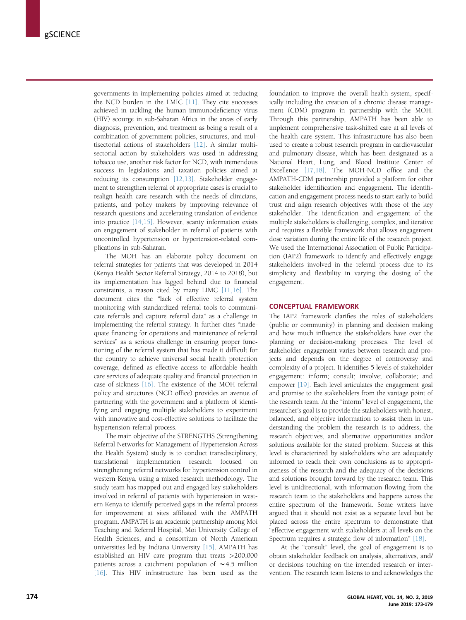governments in implementing policies aimed at reducing the NCD burden in the LMIC [\[11\]](#page-6-0). They cite successes achieved in tackling the human immunodeficiency virus (HIV) scourge in sub-Saharan Africa in the areas of early diagnosis, prevention, and treatment as being a result of a combination of government policies, structures, and multisectorial actions of stakeholders [\[12\].](#page-6-0) A similar multisectorial action by stakeholders was used in addressing tobacco use, another risk factor for NCD, with tremendous success in legislations and taxation policies aimed at reducing its consumption [\[12,13\].](#page-6-0) Stakeholder engagement to strengthen referral of appropriate cases is crucial to realign health care research with the needs of clinicians, patients, and policy makers by improving relevance of research questions and accelerating translation of evidence into practice [\[14,15\]](#page-6-0). However, scanty information exists on engagement of stakeholder in referral of patients with uncontrolled hypertension or hypertension-related complications in sub-Saharan.

The MOH has an elaborate policy document on referral strategies for patients that was developed in 2014 (Kenya Health Sector Referral Strategy, 2014 to 2018), but its implementation has lagged behind due to financial constraints, a reason cited by many LIMC [\[11,16\]](#page-6-0). The document cites the "lack of effective referral system monitoring with standardized referral tools to communicate referrals and capture referral data" as a challenge in implementing the referral strategy. It further cites "inadequate financing for operations and maintenance of referral services" as a serious challenge in ensuring proper functioning of the referral system that has made it difficult for the country to achieve universal social health protection coverage, defined as effective access to affordable health care services of adequate quality and financial protection in case of sickness [\[16\]](#page-6-0). The existence of the MOH referral policy and structures (NCD office) provides an avenue of partnering with the government and a platform of identifying and engaging multiple stakeholders to experiment with innovative and cost-effective solutions to facilitate the hypertension referral process.

The main objective of the STRENGTHS (Strengthening Referral Networks for Management of Hypertension Across the Health System) study is to conduct transdisciplinary, translational implementation research focused on strengthening referral networks for hypertension control in western Kenya, using a mixed research methodology. The study team has mapped out and engaged key stakeholders involved in referral of patients with hypertension in western Kenya to identify perceived gaps in the referral process for improvement at sites affiliated with the AMPATH program. AMPATH is an academic partnership among Moi Teaching and Referral Hospital, Moi University College of Health Sciences, and a consortium of North American universities led by Indiana University [\[15\]](#page-6-0). AMPATH has established an HIV care program that treats >200,000 patients across a catchment population of  $\sim$  4.5 million [\[16\].](#page-6-0) This HIV infrastructure has been used as the

foundation to improve the overall health system, specifically including the creation of a chronic disease management (CDM) program in partnership with the MOH. Through this partnership, AMPATH has been able to implement comprehensive task-shifted care at all levels of the health care system. This infrastructure has also been used to create a robust research program in cardiovascular and pulmonary disease, which has been designated as a National Heart, Lung, and Blood Institute Center of Excellence [\[17,18\]](#page-6-0). The MOH-NCD office and the AMPATH-CDM partnership provided a platform for other stakeholder identification and engagement. The identification and engagement process needs to start early to build trust and align research objectives with those of the key stakeholder. The identification and engagement of the multiple stakeholders is challenging, complex, and iterative and requires a flexible framework that allows engagement dose variation during the entire life of the research project. We used the International Association of Public Participation (IAP2) framework to identify and effectively engage stakeholders involved in the referral process due to its simplicity and flexibility in varying the dosing of the engagement.

## CONCEPTUAL FRAMEWORK

The IAP2 framework clarifies the roles of stakeholders (public or community) in planning and decision making and how much influence the stakeholders have over the planning or decision-making processes. The level of stakeholder engagement varies between research and projects and depends on the degree of controversy and complexity of a project. It identifies 5 levels of stakeholder engagement: inform; consult; involve; collaborate; and empower [\[19\]](#page-6-0). Each level articulates the engagement goal and promise to the stakeholders from the vantage point of the research team. At the "inform" level of engagement, the researcher's goal is to provide the stakeholders with honest, balanced, and objective information to assist them in understanding the problem the research is to address, the research objectives, and alternative opportunities and/or solutions available for the stated problem. Success at this level is characterized by stakeholders who are adequately informed to reach their own conclusions as to appropriateness of the research and the adequacy of the decisions and solutions brought forward by the research team. This level is unidirectional, with information flowing from the research team to the stakeholders and happens across the entire spectrum of the framework. Some writers have argued that it should not exist as a separate level but be placed across the entire spectrum to demonstrate that "effective engagement with stakeholders at all levels on the Spectrum requires a strategic flow of information" [\[18\].](#page-6-0)

At the "consult" level, the goal of engagement is to obtain stakeholder feedback on analysis, alternatives, and/ or decisions touching on the intended research or intervention. The research team listens to and acknowledges the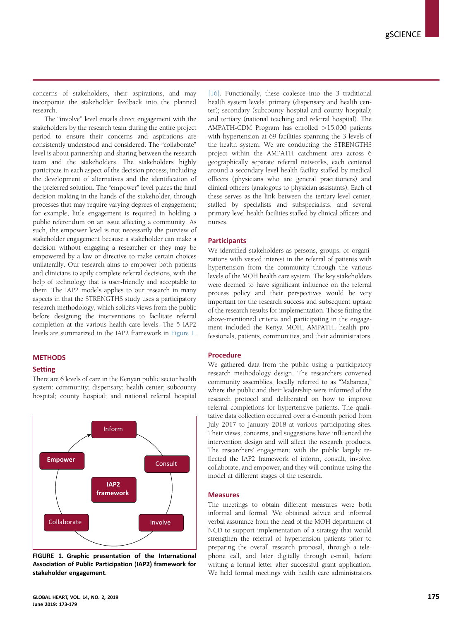concerns of stakeholders, their aspirations, and may incorporate the stakeholder feedback into the planned research.

The "involve" level entails direct engagement with the stakeholders by the research team during the entire project period to ensure their concerns and aspirations are consistently understood and considered. The "collaborate" level is about partnership and sharing between the research team and the stakeholders. The stakeholders highly participate in each aspect of the decision process, including the development of alternatives and the identification of the preferred solution. The "empower" level places the final decision making in the hands of the stakeholder, through processes that may require varying degrees of engagement; for example, little engagement is required in holding a public referendum on an issue affecting a community. As such, the empower level is not necessarily the purview of stakeholder engagement because a stakeholder can make a decision without engaging a researcher or they may be empowered by a law or directive to make certain choices unilaterally. Our research aims to empower both patients and clinicians to aptly complete referral decisions, with the help of technology that is user-friendly and acceptable to them. The IAP2 models applies to our research in many aspects in that the STRENGTHS study uses a participatory research methodology, which solicits views from the public before designing the interventions to facilitate referral completion at the various health care levels. The 5 IAP2 levels are summarized in the IAP2 framework in Figure 1.

## **METHODS**

## Setting

There are 6 levels of care in the Kenyan public sector health system: community; dispensary; health center; subcounty hospital; county hospital; and national referral hospital



FIGURE 1. Graphic presentation of the International Association of Public Participation (IAP2) framework for stakeholder engagement.

[\[16\].](#page-6-0) Functionally, these coalesce into the 3 traditional health system levels: primary (dispensary and health center); secondary (subcounty hospital and county hospital); and tertiary (national teaching and referral hospital). The AMPATH-CDM Program has enrolled >15,000 patients with hypertension at 69 facilities spanning the 3 levels of the health system. We are conducting the STRENGTHS project within the AMPATH catchment area across 6 geographically separate referral networks, each centered around a secondary-level health facility staffed by medical officers (physicians who are general practitioners) and clinical officers (analogous to physician assistants). Each of these serves as the link between the tertiary-level center, staffed by specialists and subspecialists, and several primary-level health facilities staffed by clinical officers and nurses.

## **Participants**

We identified stakeholders as persons, groups, or organizations with vested interest in the referral of patients with hypertension from the community through the various levels of the MOH health care system. The key stakeholders were deemed to have significant influence on the referral process policy and their perspectives would be very important for the research success and subsequent uptake of the research results for implementation. Those fitting the above-mentioned criteria and participating in the engagement included the Kenya MOH, AMPATH, health professionals, patients, communities, and their administrators.

#### Procedure

We gathered data from the public using a participatory research methodology design. The researchers convened community assemblies, locally referred to as "Mabaraza," where the public and their leadership were informed of the research protocol and deliberated on how to improve referral completions for hypertensive patients. The qualitative data collection occurred over a 6-month period from July 2017 to January 2018 at various participating sites. Their views, concerns, and suggestions have influenced the intervention design and will affect the research products. The researchers' engagement with the public largely reflected the IAP2 framework of inform, consult, involve, collaborate, and empower, and they will continue using the model at different stages of the research.

#### **Measures**

The meetings to obtain different measures were both informal and formal. We obtained advice and informal verbal assurance from the head of the MOH department of NCD to support implementation of a strategy that would strengthen the referral of hypertension patients prior to preparing the overall research proposal, through a telephone call, and later digitally through e-mail, before writing a formal letter after successful grant application. We held formal meetings with health care administrators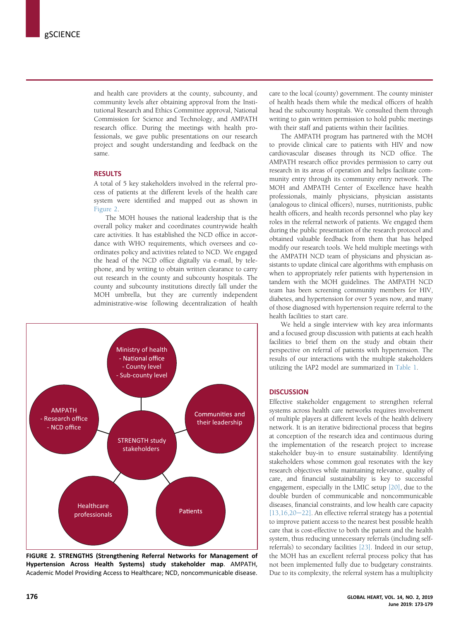and health care providers at the county, subcounty, and community levels after obtaining approval from the Institutional Research and Ethics Committee approval, National Commission for Science and Technology, and AMPATH research office. During the meetings with health professionals, we gave public presentations on our research project and sought understanding and feedback on the same.

#### **RESULTS**

A total of 5 key stakeholders involved in the referral process of patients at the different levels of the health care system were identified and mapped out as shown in Figure 2.

The MOH houses the national leadership that is the overall policy maker and coordinates countrywide health care activities. It has established the NCD office in accordance with WHO requirements, which oversees and coordinates policy and activities related to NCD. We engaged the head of the NCD office digitally via e-mail, by telephone, and by writing to obtain written clearance to carry out research in the county and subcounty hospitals. The county and subcounty institutions directly fall under the MOH umbrella, but they are currently independent administrative-wise following decentralization of health



FIGURE 2. STRENGTHS (Strengthening Referral Networks for Management of Hypertension Across Health Systems) study stakeholder map. AMPATH, Academic Model Providing Access to Healthcare; NCD, noncommunicable disease.

care to the local (county) government. The county minister of health heads them while the medical officers of health head the subcounty hospitals. We consulted them through writing to gain written permission to hold public meetings with their staff and patients within their facilities.

The AMPATH program has partnered with the MOH to provide clinical care to patients with HIV and now cardiovascular diseases through its NCD office. The AMPATH research office provides permission to carry out research in its areas of operation and helps facilitate community entry through its community entry network. The MOH and AMPATH Center of Excellence have health professionals, mainly physicians, physician assistants (analogous to clinical officers), nurses, nutritionists, public health officers, and health records personnel who play key roles in the referral network of patients. We engaged them during the public presentation of the research protocol and obtained valuable feedback from them that has helped modify our research tools. We held multiple meetings with the AMPATH NCD team of physicians and physician assistants to update clinical care algorithms with emphasis on when to appropriately refer patients with hypertension in tandem with the MOH guidelines. The AMPATH NCD team has been screening community members for HIV, diabetes, and hypertension for over 5 years now, and many of those diagnosed with hypertension require referral to the health facilities to start care.

We held a single interview with key area informants and a focused group discussion with patients at each health facilities to brief them on the study and obtain their perspective on referral of patients with hypertension. The results of our interactions with the multiple stakeholders utilizing the IAP2 model are summarized in [Table 1.](#page-4-0)

# **DISCUSSION**

Effective stakeholder engagement to strengthen referral systems across health care networks requires involvement of multiple players at different levels of the health delivery network. It is an iterative bidirectional process that begins at conception of the research idea and continuous during the implementation of the research project to increase stakeholder buy-in to ensure sustainability. Identifying stakeholders whose common goal resonates with the key research objectives while maintaining relevance, quality of care, and financial sustainability is key to successful engagement, especially in the LMIC setup [\[20\],](#page-6-0) due to the double burden of communicable and noncommunicable diseases, financial constraints, and low health care capacity  $[13,16,20-22]$  $[13,16,20-22]$ . An effective referral strategy has a potential to improve patient access to the nearest best possible health care that is cost-effective to both the patient and the health system, thus reducing unnecessary referrals (including selfreferrals) to secondary facilities [\[23\].](#page-6-0) Indeed in our setup, the MOH has an excellent referral process policy that has not been implemented fully due to budgetary constraints. Due to its complexity, the referral system has a multiplicity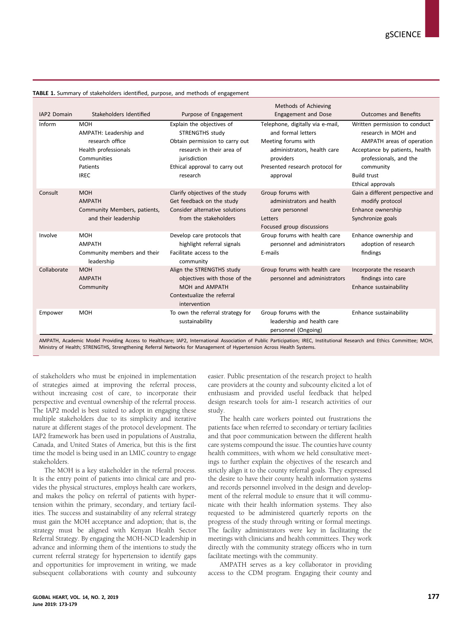| IAP2 Domain | Stakeholders Identified                                                                                                   | Purpose of Engagement                                                                                                                                                    | Methods of Achieving<br><b>Engagement and Dose</b>                                                                                                                                  | <b>Outcomes and Benefits</b>                                                                                                                                                                          |
|-------------|---------------------------------------------------------------------------------------------------------------------------|--------------------------------------------------------------------------------------------------------------------------------------------------------------------------|-------------------------------------------------------------------------------------------------------------------------------------------------------------------------------------|-------------------------------------------------------------------------------------------------------------------------------------------------------------------------------------------------------|
| Inform      | <b>MOH</b><br>AMPATH: Leadership and<br>research office<br>Health professionals<br>Communities<br>Patients<br><b>IREC</b> | Explain the objectives of<br>STRENGTHS study<br>Obtain permission to carry out<br>research in their area of<br>jurisdiction<br>Ethical approval to carry out<br>research | Telephone, digitally via e-mail,<br>and formal letters<br>Meeting forums with<br>administrators, health care<br>providers<br>Presented research protocol for<br>approval            | Written permission to conduct<br>research in MOH and<br>AMPATH areas of operation<br>Acceptance by patients, health<br>professionals, and the<br>community<br><b>Build trust</b><br>Ethical approvals |
| Consult     | <b>MOH</b><br><b>AMPATH</b><br>Community Members, patients,<br>and their leadership                                       | Clarify objectives of the study<br>Get feedback on the study<br>Consider alternative solutions<br>from the stakeholders                                                  | Group forums with<br>administrators and health<br>care personnel<br>Letters<br>Focused group discussions                                                                            | Gain a different perspective and<br>modify protocol<br>Enhance ownership<br>Synchronize goals                                                                                                         |
| Involve     | <b>MOH</b><br><b>AMPATH</b><br>Community members and their<br>leadership                                                  | Develop care protocols that<br>highlight referral signals<br>Facilitate access to the<br>community                                                                       | Group forums with health care<br>personnel and administrators<br>E-mails                                                                                                            | Enhance ownership and<br>adoption of research<br>findings                                                                                                                                             |
| Collaborate | <b>MOH</b><br><b>AMPATH</b><br>Community                                                                                  | Align the STRENGTHS study<br>objectives with those of the<br>MOH and AMPATH<br>Contextualize the referral<br>intervention                                                | Group forums with health care<br>personnel and administrators                                                                                                                       | Incorporate the research<br>findings into care<br>Enhance sustainability                                                                                                                              |
| Empower     | <b>MOH</b><br>installed and all Directations Associated Health                                                            | To own the referral strategy for<br>sustainability                                                                                                                       | Group forums with the<br>leadership and health care<br>personnel (Ongoing)<br>consisted international Acceptation of Dublic Depthication: IDFC Institutional Deceaseb and Fibie Con | Enhance sustainability                                                                                                                                                                                |

<span id="page-4-0"></span>TABLE 1. Summary of stakeholders identified, purpose, and methods of engagement

AMPATH, Academic Model Providing Access to Healthcare; IAP2, International Association of Public Participation; IREC, Institutional Research and Ethics Committee; MOH, Ministry of Health; STRENGTHS, Strengthening Referral Networks for Management of Hypertension Across Health Systems.

of stakeholders who must be enjoined in implementation of strategies aimed at improving the referral process, without increasing cost of care, to incorporate their perspective and eventual ownership of the referral process. The IAP2 model is best suited to adopt in engaging these multiple stakeholders due to its simplicity and iterative nature at different stages of the protocol development. The IAP2 framework has been used in populations of Australia, Canada, and United States of America, but this is the first time the model is being used in an LMIC country to engage stakeholders.

The MOH is a key stakeholder in the referral process. It is the entry point of patients into clinical care and provides the physical structures, employs health care workers, and makes the policy on referral of patients with hypertension within the primary, secondary, and tertiary facilities. The success and sustainability of any referral strategy must gain the MOH acceptance and adoption; that is, the strategy must be aligned with Kenyan Health Sector Referral Strategy. By engaging the MOH-NCD leadership in advance and informing them of the intentions to study the current referral strategy for hypertension to identify gaps and opportunities for improvement in writing, we made subsequent collaborations with county and subcounty easier. Public presentation of the research project to health care providers at the county and subcounty elicited a lot of enthusiasm and provided useful feedback that helped design research tools for aim-1 research activities of our study.

The health care workers pointed out frustrations the patients face when referred to secondary or tertiary facilities and that poor communication between the different health care systems compound the issue. The counties have county health committees, with whom we held consultative meetings to further explain the objectives of the research and strictly align it to the county referral goals. They expressed the desire to have their county health information systems and records personnel involved in the design and development of the referral module to ensure that it will communicate with their health information systems. They also requested to be administered quarterly reports on the progress of the study through writing or formal meetings. The facility administrators were key in facilitating the meetings with clinicians and health committees. They work directly with the community strategy officers who in turn facilitate meetings with the community.

AMPATH serves as a key collaborator in providing access to the CDM program. Engaging their county and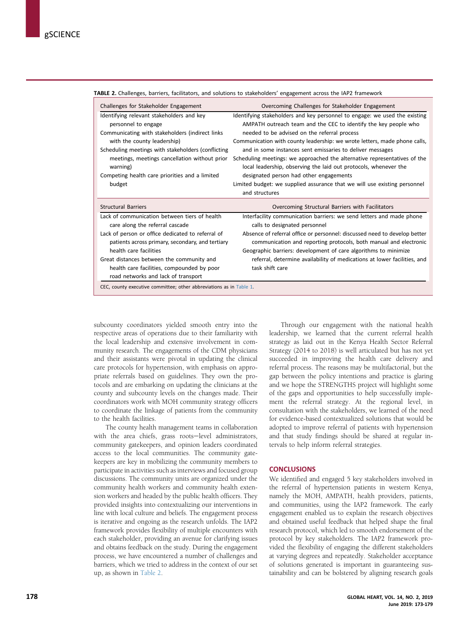| Challenges for Stakeholder Engagement                               | Overcoming Challenges for Stakeholder Engagement                           |  |  |
|---------------------------------------------------------------------|----------------------------------------------------------------------------|--|--|
| Identifying relevant stakeholders and key                           | Identifying stakeholders and key personnel to engage: we used the existing |  |  |
| personnel to engage                                                 | AMPATH outreach team and the CEC to identify the key people who            |  |  |
| Communicating with stakeholders (indirect links                     | needed to be advised on the referral process                               |  |  |
| with the county leadership)                                         | Communication with county leadership: we wrote letters, made phone calls,  |  |  |
| Scheduling meetings with stakeholders (conflicting                  | and in some instances sent emissaries to deliver messages                  |  |  |
| meetings, meetings cancellation without prior                       | Scheduling meetings: we approached the alternative representatives of the  |  |  |
| warning)                                                            | local leadership, observing the laid out protocols, whenever the           |  |  |
| Competing health care priorities and a limited                      | designated person had other engagements                                    |  |  |
| budget                                                              | Limited budget: we supplied assurance that we will use existing personnel  |  |  |
|                                                                     | and structures                                                             |  |  |
| <b>Structural Barriers</b>                                          | Overcoming Structural Barriers with Facilitators                           |  |  |
| Lack of communication between tiers of health                       | Interfacility communication barriers: we send letters and made phone       |  |  |
| care along the referral cascade                                     | calls to designated personnel                                              |  |  |
| Lack of person or office dedicated to referral of                   | Absence of referral office or personnel: discussed need to develop better  |  |  |
| patients across primary, secondary, and tertiary                    | communication and reporting protocols, both manual and electronic          |  |  |
| health care facilities                                              | Geographic barriers: development of care algorithms to minimize            |  |  |
| Great distances between the community and                           | referral, determine availability of medications at lower facilities, and   |  |  |
| health care facilities, compounded by poor                          | task shift care                                                            |  |  |
| road networks and lack of transport                                 |                                                                            |  |  |
| CEC, county executive committee; other abbreviations as in Table 1. |                                                                            |  |  |

TABLE 2. Challenges, barriers, facilitators, and solutions to stakeholders' engagement across the IAP2 framework

subcounty coordinators yielded smooth entry into the respective areas of operations due to their familiarity with the local leadership and extensive involvement in community research. The engagements of the CDM physicians and their assistants were pivotal in updating the clinical care protocols for hypertension, with emphasis on appropriate referrals based on guidelines. They own the protocols and are embarking on updating the clinicians at the county and subcounty levels on the changes made. Their coordinators work with MOH community strategy officers to coordinate the linkage of patients from the community to the health facilities.

The county health management teams in collaboration with the area chiefs, grass roots-level administrators, community gatekeepers, and opinion leaders coordinated access to the local communities. The community gatekeepers are key in mobilizing the community members to participate in activities such as interviews and focused group discussions. The community units are organized under the community health workers and community health extension workers and headed by the public health officers. They provided insights into contextualizing our interventions in line with local culture and beliefs. The engagement process is iterative and ongoing as the research unfolds. The IAP2 framework provides flexibility of multiple encounters with each stakeholder, providing an avenue for clarifying issues and obtains feedback on the study. During the engagement process, we have encountered a number of challenges and barriers, which we tried to address in the context of our set up, as shown in Table 2.

Through our engagement with the national health leadership, we learned that the current referral health strategy as laid out in the Kenya Health Sector Referral Strategy (2014 to 2018) is well articulated but has not yet succeeded in improving the health care delivery and referral process. The reasons may be multifactorial, but the gap between the policy intentions and practice is glaring and we hope the STRENGTHS project will highlight some of the gaps and opportunities to help successfully implement the referral strategy. At the regional level, in consultation with the stakeholders, we learned of the need for evidence-based contextualized solutions that would be adopted to improve referral of patients with hypertension and that study findings should be shared at regular intervals to help inform referral strategies.

#### **CONCLUSIONS**

We identified and engaged 5 key stakeholders involved in the referral of hypertension patients in western Kenya, namely the MOH, AMPATH, health providers, patients, and communities, using the IAP2 framework. The early engagement enabled us to explain the research objectives and obtained useful feedback that helped shape the final research protocol, which led to smooth endorsement of the protocol by key stakeholders. The IAP2 framework provided the flexibility of engaging the different stakeholders at varying degrees and repeatedly. Stakeholder acceptance of solutions generated is important in guaranteeing sustainability and can be bolstered by aligning research goals